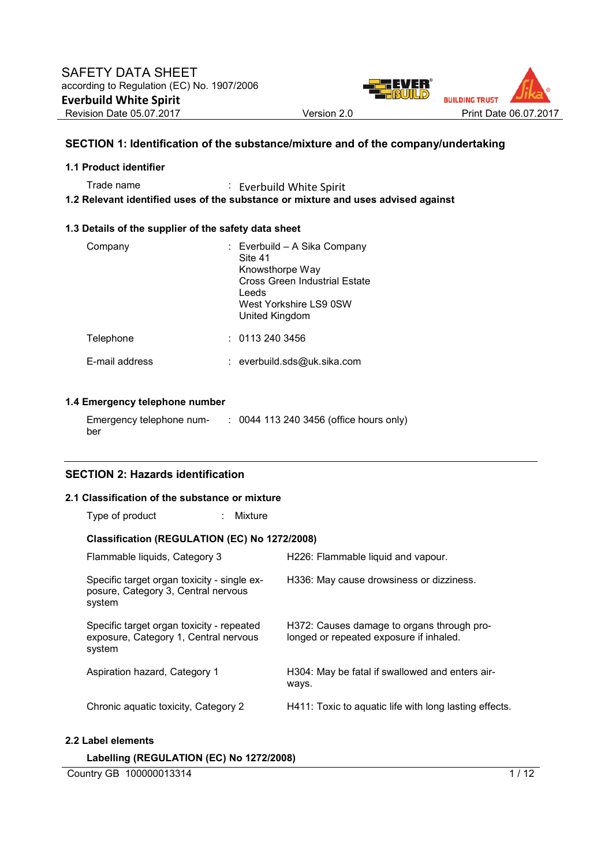

# **SECTION 1: Identification of the substance/mixture and of the company/undertaking**

## **1.1 Product identifier**

Trade name : Everbuild White Spirit

**1.2 Relevant identified uses of the substance or mixture and uses advised against** 

#### **1.3 Details of the supplier of the safety data sheet**

| Company        | : Everbuild – A Sika Company<br>Site 41<br>Knowsthorpe Way<br>Cross Green Industrial Estate<br>Leeds<br>West Yorkshire LS9 0SW<br>United Kingdom |
|----------------|--------------------------------------------------------------------------------------------------------------------------------------------------|
| Telephone      | : 01132403456                                                                                                                                    |
| F-mail address | : everbuild.sds@uk.sika.com                                                                                                                      |

# **1.4 Emergency telephone number**

| Emergency telephone num- | : 0044 113 240 3456 (office hours only) |
|--------------------------|-----------------------------------------|
| ber                      |                                         |

# **SECTION 2: Hazards identification**

#### **2.1 Classification of the substance or mixture**

| Type of product |  | Mixture |
|-----------------|--|---------|
|-----------------|--|---------|

## **Classification (REGULATION (EC) No 1272/2008)**

| Flammable liquids, Category 3                                                                | H226: Flammable liquid and vapour.                                                    |
|----------------------------------------------------------------------------------------------|---------------------------------------------------------------------------------------|
| Specific target organ toxicity - single ex-<br>posure, Category 3, Central nervous<br>system | H336: May cause drowsiness or dizziness.                                              |
| Specific target organ toxicity - repeated<br>exposure, Category 1, Central nervous<br>system | H372: Causes damage to organs through pro-<br>longed or repeated exposure if inhaled. |
| Aspiration hazard, Category 1                                                                | H304: May be fatal if swallowed and enters air-<br>ways.                              |
| Chronic aquatic toxicity, Category 2                                                         | H411: Toxic to aquatic life with long lasting effects.                                |
| Label elements                                                                               |                                                                                       |

## **Labelling (REGULATION (EC) No 1272/2008)**

Country GB 100000013314 1/12

 $2.2$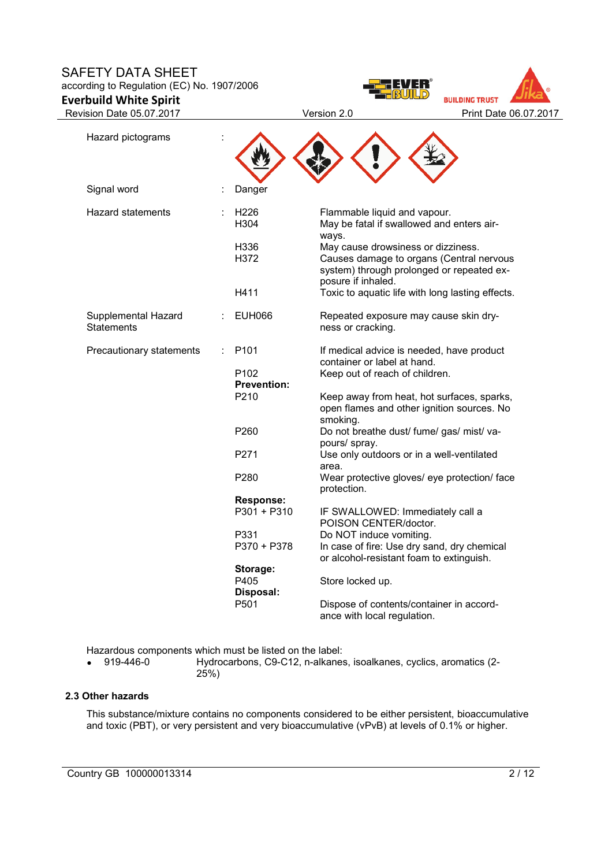# SAFETY DATA SHEET

according to Regulation (EC) No. 1907/2006

**Everbuild White Spirit** 





| Hazard pictograms                 |                                        |                                                                                                                                                   |
|-----------------------------------|----------------------------------------|---------------------------------------------------------------------------------------------------------------------------------------------------|
| Signal word                       | Danger                                 |                                                                                                                                                   |
| <b>Hazard statements</b>          | H <sub>226</sub><br>H304               | Flammable liquid and vapour.<br>May be fatal if swallowed and enters air-<br>ways.                                                                |
|                                   | H336<br>H372                           | May cause drowsiness or dizziness.<br>Causes damage to organs (Central nervous<br>system) through prolonged or repeated ex-<br>posure if inhaled. |
|                                   | H411                                   | Toxic to aquatic life with long lasting effects.                                                                                                  |
| Supplemental Hazard<br>Statements | <b>EUH066</b>                          | Repeated exposure may cause skin dry-<br>ness or cracking.                                                                                        |
| Precautionary statements          | P <sub>101</sub>                       | If medical advice is needed, have product<br>container or label at hand.                                                                          |
|                                   | P <sub>102</sub><br><b>Prevention:</b> | Keep out of reach of children.                                                                                                                    |
|                                   | P210                                   | Keep away from heat, hot surfaces, sparks,<br>open flames and other ignition sources. No<br>smoking.                                              |
|                                   | P260                                   | Do not breathe dust/ fume/ gas/ mist/ va-<br>pours/ spray.                                                                                        |
|                                   | P271                                   | Use only outdoors or in a well-ventilated<br>area.                                                                                                |
|                                   | P280                                   | Wear protective gloves/ eye protection/ face<br>protection.                                                                                       |
|                                   | <b>Response:</b>                       |                                                                                                                                                   |
|                                   | $P301 + P310$                          | IF SWALLOWED: Immediately call a<br>POISON CENTER/doctor.                                                                                         |
|                                   | P331                                   | Do NOT induce vomiting.                                                                                                                           |
|                                   | P370 + P378                            | In case of fire: Use dry sand, dry chemical<br>or alcohol-resistant foam to extinguish.                                                           |
|                                   | Storage:<br>P405<br>Disposal:          | Store locked up.                                                                                                                                  |
|                                   | P501                                   | Dispose of contents/container in accord-<br>ance with local regulation.                                                                           |

Hazardous components which must be listed on the label:<br>• 919-446-0 Hydrocarbons. C9-C12. n-alkanes

• 919-446-0 Hydrocarbons, C9-C12, n-alkanes, isoalkanes, cyclics, aromatics (2- 25%)

# **2.3 Other hazards**

This substance/mixture contains no components considered to be either persistent, bioaccumulative and toxic (PBT), or very persistent and very bioaccumulative (vPvB) at levels of 0.1% or higher.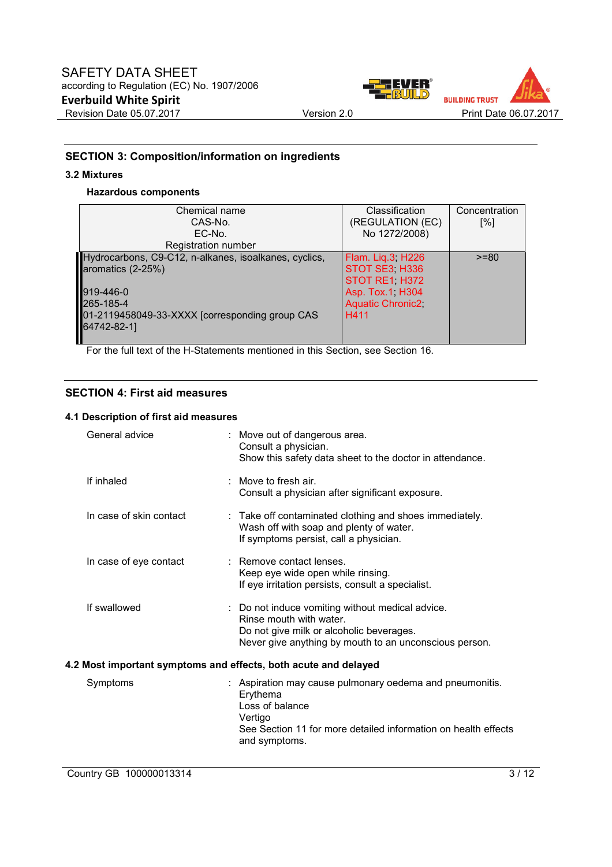

# **SECTION 3: Composition/information on ingredients**

# **3.2 Mixtures**

## **Hazardous components**

| Chemical name<br>CAS-No.<br>EC-No.                                                      | Classification<br>(REGULATION (EC)<br>No 1272/2008) | Concentration<br>[%] |
|-----------------------------------------------------------------------------------------|-----------------------------------------------------|----------------------|
| Registration number                                                                     |                                                     |                      |
| Hydrocarbons, C9-C12, n-alkanes, isoalkanes, cyclics,<br>aromatics (2-25%)              | Flam. Liq.3, H226<br>STOT SE3 H336<br>STOT RE1 H372 | $>= 80$              |
| 919-446-0<br>265-185-4<br>01-2119458049-33-XXXX [corresponding group CAS<br>64742-82-1] | Asp. Tox.1, H304<br><b>Aquatic Chronic2</b><br>H411 |                      |

For the full text of the H-Statements mentioned in this Section, see Section 16.

# **SECTION 4: First aid measures**

## **4.1 Description of first aid measures**

| General advice          | : Move out of dangerous area.<br>Consult a physician.<br>Show this safety data sheet to the doctor in attendance.                                                                     |
|-------------------------|---------------------------------------------------------------------------------------------------------------------------------------------------------------------------------------|
| If inhaled              | $\therefore$ Move to fresh air.<br>Consult a physician after significant exposure.                                                                                                    |
| In case of skin contact | : Take off contaminated clothing and shoes immediately.<br>Wash off with soap and plenty of water.<br>If symptoms persist, call a physician.                                          |
| In case of eye contact  | : Remove contact lenses.<br>Keep eye wide open while rinsing.<br>If eye irritation persists, consult a specialist.                                                                    |
| If swallowed            | : Do not induce vomiting without medical advice.<br>Rinse mouth with water.<br>Do not give milk or alcoholic beverages.<br>Never give anything by mouth to an unconscious person.     |
|                         | 4.2 Most important symptoms and effects, both acute and delayed                                                                                                                       |
| Symptoms                | : Aspiration may cause pulmonary oedema and pneumonitis.<br>Erythema<br>Loss of balance<br>Vertigo<br>See Section 11 for more detailed information on health effects<br>and symptoms. |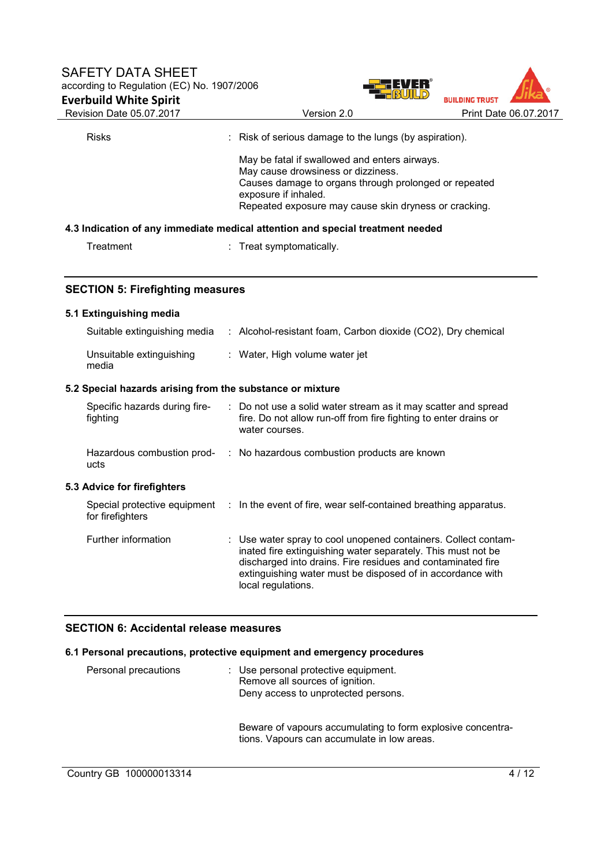



| Revision Date 05.07.2017                                  | Version 2.0                                                                                                                                                                                                                                                                       | Print Date 06.07.2017 |
|-----------------------------------------------------------|-----------------------------------------------------------------------------------------------------------------------------------------------------------------------------------------------------------------------------------------------------------------------------------|-----------------------|
| <b>Risks</b>                                              | : Risk of serious damage to the lungs (by aspiration).                                                                                                                                                                                                                            |                       |
|                                                           | May be fatal if swallowed and enters airways.<br>May cause drowsiness or dizziness.<br>Causes damage to organs through prolonged or repeated<br>exposure if inhaled.<br>Repeated exposure may cause skin dryness or cracking.                                                     |                       |
|                                                           | 4.3 Indication of any immediate medical attention and special treatment needed                                                                                                                                                                                                    |                       |
| Treatment                                                 | : Treat symptomatically.                                                                                                                                                                                                                                                          |                       |
| <b>SECTION 5: Firefighting measures</b>                   |                                                                                                                                                                                                                                                                                   |                       |
| 5.1 Extinguishing media                                   |                                                                                                                                                                                                                                                                                   |                       |
|                                                           | Suitable extinguishing media : Alcohol-resistant foam, Carbon dioxide (CO2), Dry chemical                                                                                                                                                                                         |                       |
| Unsuitable extinguishing<br>media                         | : Water, High volume water jet                                                                                                                                                                                                                                                    |                       |
| 5.2 Special hazards arising from the substance or mixture |                                                                                                                                                                                                                                                                                   |                       |
| Specific hazards during fire-<br>fighting                 | : Do not use a solid water stream as it may scatter and spread<br>fire. Do not allow run-off from fire fighting to enter drains or<br>water courses.                                                                                                                              |                       |
| ucts                                                      | Hazardous combustion prod- : No hazardous combustion products are known                                                                                                                                                                                                           |                       |
| 5.3 Advice for firefighters                               |                                                                                                                                                                                                                                                                                   |                       |
| for firefighters                                          | Special protective equipment : In the event of fire, wear self-contained breathing apparatus.                                                                                                                                                                                     |                       |
| Further information                                       | : Use water spray to cool unopened containers. Collect contam-<br>inated fire extinguishing water separately. This must not be<br>discharged into drains. Fire residues and contaminated fire<br>extinguishing water must be disposed of in accordance with<br>local regulations. |                       |
|                                                           |                                                                                                                                                                                                                                                                                   |                       |

# **SECTION 6: Accidental release measures**

# **6.1 Personal precautions, protective equipment and emergency procedures**

| Personal precautions | : Use personal protective equipment.<br>Remove all sources of ignition.<br>Deny access to unprotected persons. |
|----------------------|----------------------------------------------------------------------------------------------------------------|
|                      | Beware of vapours accumulating to form explosive concentra-<br>tions. Vapours can accumulate in low areas.     |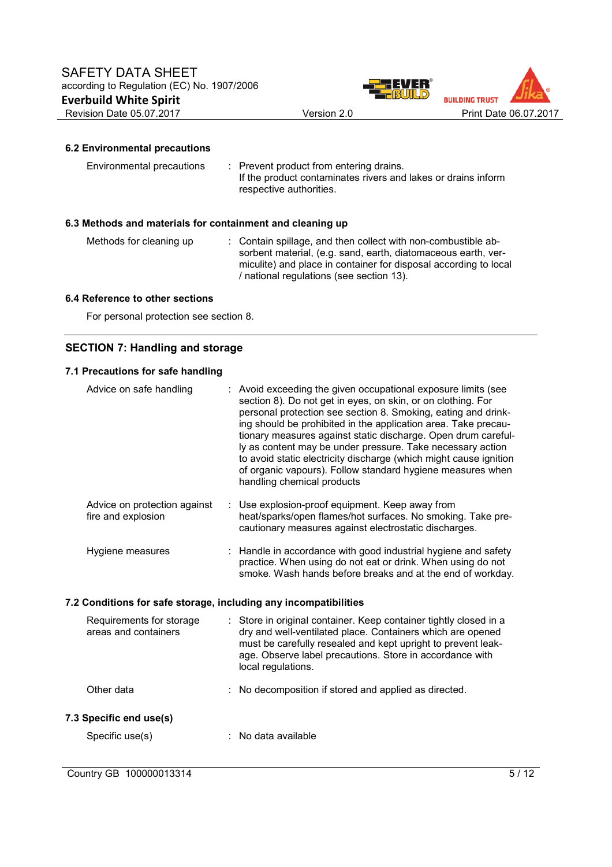



# **6.2 Environmental precautions**

| Environmental precautions | : Prevent product from entering drains.                                                  |
|---------------------------|------------------------------------------------------------------------------------------|
|                           | If the product contaminates rivers and lakes or drains inform<br>respective authorities. |
|                           |                                                                                          |

# **6.3 Methods and materials for containment and cleaning up**

| Methods for cleaning up | : Contain spillage, and then collect with non-combustible ab-    |
|-------------------------|------------------------------------------------------------------|
|                         | sorbent material, (e.g. sand, earth, diatomaceous earth, ver-    |
|                         | miculite) and place in container for disposal according to local |
|                         | / national regulations (see section 13).                         |

#### **6.4 Reference to other sections**

For personal protection see section 8.

# **SECTION 7: Handling and storage**

## **7.1 Precautions for safe handling**

| Advice on safe handling                                          | : Avoid exceeding the given occupational exposure limits (see<br>section 8). Do not get in eyes, on skin, or on clothing. For<br>personal protection see section 8. Smoking, eating and drink-<br>ing should be prohibited in the application area. Take precau-<br>tionary measures against static discharge. Open drum careful-<br>ly as content may be under pressure. Take necessary action<br>to avoid static electricity discharge (which might cause ignition<br>of organic vapours). Follow standard hygiene measures when<br>handling chemical products |
|------------------------------------------------------------------|------------------------------------------------------------------------------------------------------------------------------------------------------------------------------------------------------------------------------------------------------------------------------------------------------------------------------------------------------------------------------------------------------------------------------------------------------------------------------------------------------------------------------------------------------------------|
| Advice on protection against<br>fire and explosion               | : Use explosion-proof equipment. Keep away from<br>heat/sparks/open flames/hot surfaces. No smoking. Take pre-<br>cautionary measures against electrostatic discharges.                                                                                                                                                                                                                                                                                                                                                                                          |
| Hygiene measures                                                 | : Handle in accordance with good industrial hygiene and safety<br>practice. When using do not eat or drink. When using do not<br>smoke. Wash hands before breaks and at the end of workday.                                                                                                                                                                                                                                                                                                                                                                      |
| 7.2 Conditions for safe storage, including any incompatibilities |                                                                                                                                                                                                                                                                                                                                                                                                                                                                                                                                                                  |
| Requirements for storage<br>areas and containers                 | : Store in original container. Keep container tightly closed in a<br>dry and well-ventilated place. Containers which are opened<br>must be carefully resealed and kept upright to prevent leak-<br>age. Observe label precautions. Store in accordance with<br>local regulations.                                                                                                                                                                                                                                                                                |
| Other data                                                       | : No decomposition if stored and applied as directed.                                                                                                                                                                                                                                                                                                                                                                                                                                                                                                            |
| 7.3 Specific end use(s)                                          |                                                                                                                                                                                                                                                                                                                                                                                                                                                                                                                                                                  |

Specific use(s)  $\qquad \qquad$ : No data available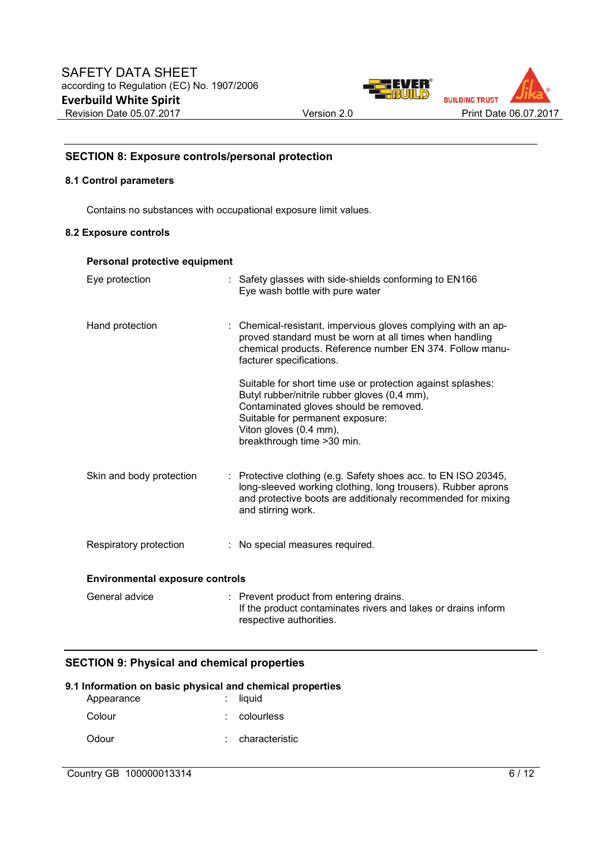



# **SECTION 8: Exposure controls/personal protection**

## **8.1 Control parameters**

Contains no substances with occupational exposure limit values.

#### **8.2 Exposure controls**

## **Personal protective equipment**

| Eye protection                         | : Safety glasses with side-shields conforming to EN166<br>Eye wash bottle with pure water                                                                                                                                                          |
|----------------------------------------|----------------------------------------------------------------------------------------------------------------------------------------------------------------------------------------------------------------------------------------------------|
| Hand protection                        | : Chemical-resistant, impervious gloves complying with an ap-<br>proved standard must be worn at all times when handling<br>chemical products. Reference number EN 374. Follow manu-<br>facturer specifications.                                   |
|                                        | Suitable for short time use or protection against splashes:<br>Butyl rubber/nitrile rubber gloves (0,4 mm),<br>Contaminated gloves should be removed.<br>Suitable for permanent exposure:<br>Viton gloves (0.4 mm),<br>breakthrough time > 30 min. |
| Skin and body protection               | : Protective clothing (e.g. Safety shoes acc. to EN ISO 20345,<br>long-sleeved working clothing, long trousers). Rubber aprons<br>and protective boots are additionaly recommended for mixing<br>and stirring work.                                |
| Respiratory protection                 | : No special measures required.                                                                                                                                                                                                                    |
| <b>Environmental exposure controls</b> |                                                                                                                                                                                                                                                    |
| General advice                         | : Prevent product from entering drains.<br>If the product contaminates rivers and lakes or drains inform<br>respective authorities.                                                                                                                |

# **SECTION 9: Physical and chemical properties**

# **9.1 Information on basic physical and chemical properties**

| Appearance | $:$ liquid     |
|------------|----------------|
| Colour     | $:$ colourless |
| Odour      | characteristic |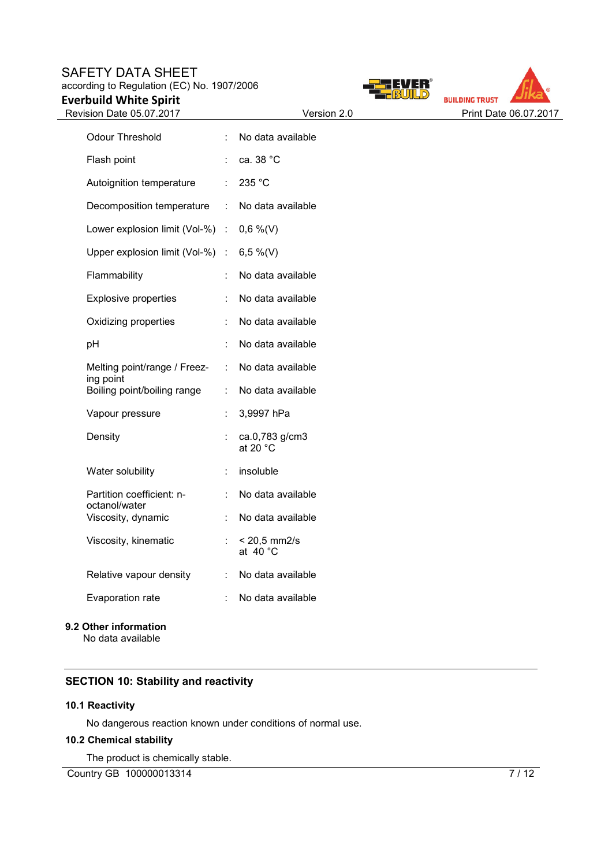# SAFETY DATA SHEET according to Regulation (EC) No. 1907/2006 **Everbuild White Spirit**







| <b>Odour Threshold</b>                     |    | No data available                    |
|--------------------------------------------|----|--------------------------------------|
| Flash point                                |    | ca. 38 °C                            |
| Autoignition temperature                   | t. | 235 °C                               |
| Decomposition temperature                  | t. | No data available                    |
| Lower explosion limit (Vol-%)              | t. | $0,6\%$ (V)                          |
| Upper explosion limit (Vol-%)              | t  | 6,5 %(V)                             |
| Flammability                               | t  | No data available                    |
| <b>Explosive properties</b>                | t  | No data available                    |
| Oxidizing properties                       | t  | No data available                    |
| pH                                         |    | No data available                    |
| Melting point/range / Freez-<br>ing point  | t  | No data available                    |
| Boiling point/boiling range                | t  | No data available                    |
| Vapour pressure                            |    | 3,9997 hPa                           |
| Density                                    |    | ca.0,783 g/cm3<br>at 20 $^{\circ}$ C |
| Water solubility                           | t  | insoluble                            |
| Partition coefficient: n-<br>octanol/water |    | No data available                    |
| Viscosity, dynamic                         |    | No data available                    |
| Viscosity, kinematic                       |    | < 20,5 mm2/s<br>at $40^{\circ}$ C    |
| Relative vapour density                    | t. | No data available                    |
| <b>Evaporation rate</b>                    |    | No data available                    |

# **9.2 Other information**

No data available

# **SECTION 10: Stability and reactivity**

# **10.1 Reactivity**

No dangerous reaction known under conditions of normal use.

# **10.2 Chemical stability**

The product is chemically stable.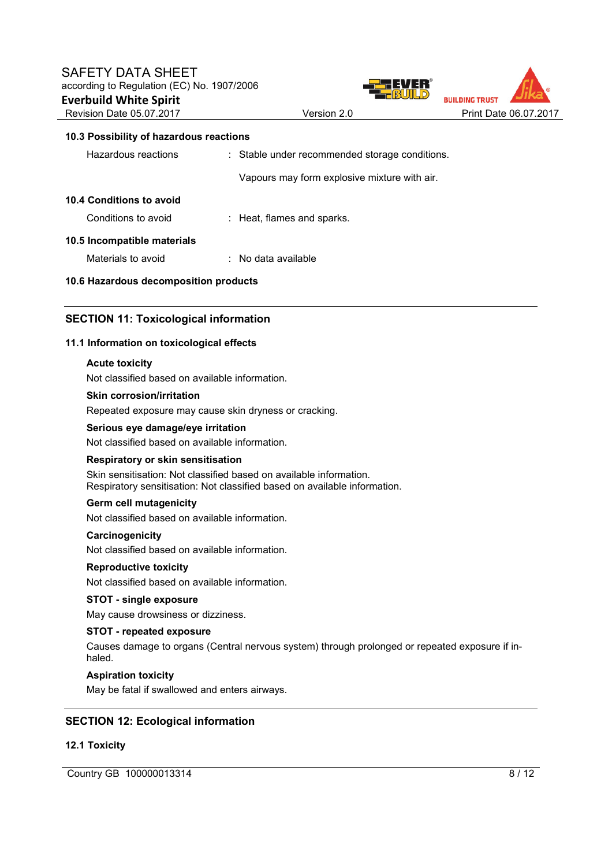



## **10.3 Possibility of hazardous reactions**

| Hazardous reactions                   | : Stable under recommended storage conditions. |
|---------------------------------------|------------------------------------------------|
|                                       | Vapours may form explosive mixture with air.   |
| 10.4 Conditions to avoid              |                                                |
| Conditions to avoid                   | : Heat, flames and sparks.                     |
| 10.5 Incompatible materials           |                                                |
| Materials to avoid                    | $\therefore$ No data available                 |
| 10.6 Hazardous decomposition products |                                                |

# **SECTION 11: Toxicological information**

## **11.1 Information on toxicological effects**

#### **Acute toxicity**

Not classified based on available information.

#### **Skin corrosion/irritation**

Repeated exposure may cause skin dryness or cracking.

#### **Serious eye damage/eye irritation**

Not classified based on available information.

#### **Respiratory or skin sensitisation**

Skin sensitisation: Not classified based on available information. Respiratory sensitisation: Not classified based on available information.

# **Germ cell mutagenicity**

Not classified based on available information.

#### **Carcinogenicity**

Not classified based on available information.

#### **Reproductive toxicity**

Not classified based on available information.

#### **STOT - single exposure**

May cause drowsiness or dizziness.

## **STOT - repeated exposure**

Causes damage to organs (Central nervous system) through prolonged or repeated exposure if inhaled.

#### **Aspiration toxicity**

May be fatal if swallowed and enters airways.

# **SECTION 12: Ecological information**

#### **12.1 Toxicity**

Country GB 100000013314 8/12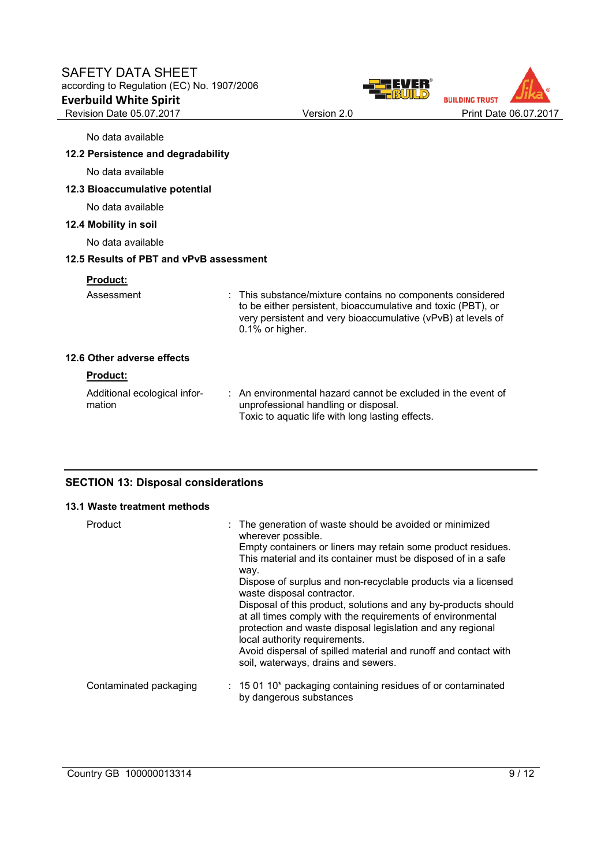# SAFETY DATA SHEET according to Regulation (EC) No. 1907/2006 **Everbuild White Spirit**  Revision Date 05.07.2017 Version 2.0 Print Date 06.07.2017





No data available

# **12.2 Persistence and degradability**

No data available

# **12.3 Bioaccumulative potential**

No data available

## **12.4 Mobility in soil**

No data available

#### **12.5 Results of PBT and vPvB assessment**

#### **Product:**

Assessment : This substance/mixture contains no components considered to be either persistent, bioaccumulative and toxic (PBT), or very persistent and very bioaccumulative (vPvB) at levels of 0.1% or higher.

# **12.6 Other adverse effects**

## **Product:**

Additional ecological information : An environmental hazard cannot be excluded in the event of unprofessional handling or disposal. Toxic to aquatic life with long lasting effects.

# **SECTION 13: Disposal considerations**

#### **13.1 Waste treatment methods**

| Product                | : The generation of waste should be avoided or minimized<br>wherever possible.                                                                                                                                              |
|------------------------|-----------------------------------------------------------------------------------------------------------------------------------------------------------------------------------------------------------------------------|
|                        | Empty containers or liners may retain some product residues.                                                                                                                                                                |
|                        | This material and its container must be disposed of in a safe<br>way.                                                                                                                                                       |
|                        | Dispose of surplus and non-recyclable products via a licensed<br>waste disposal contractor.                                                                                                                                 |
|                        | Disposal of this product, solutions and any by-products should<br>at all times comply with the requirements of environmental<br>protection and waste disposal legislation and any regional<br>local authority requirements. |
|                        | Avoid dispersal of spilled material and runoff and contact with<br>soil, waterways, drains and sewers.                                                                                                                      |
| Contaminated packaging | $: 150110*$ packaging containing residues of or contaminated<br>by dangerous substances                                                                                                                                     |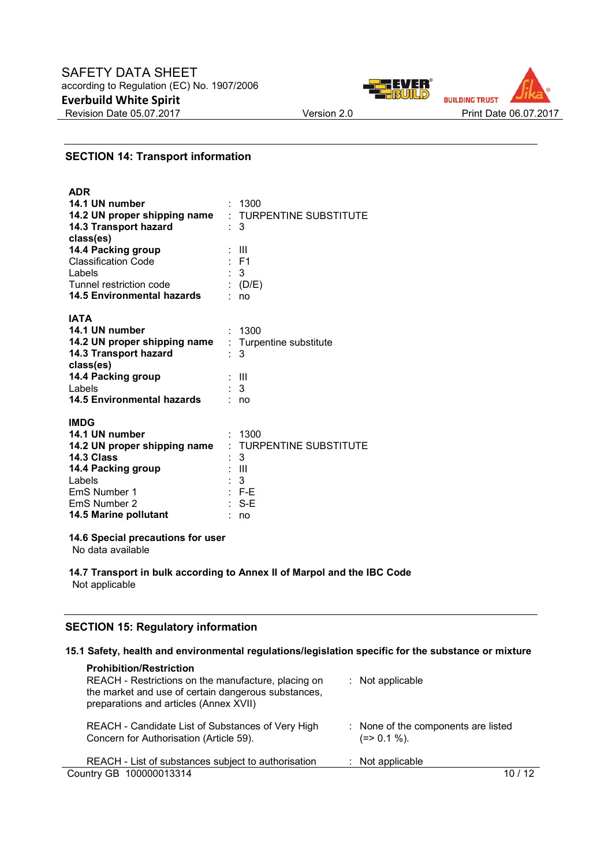



# **SECTION 14: Transport information**

| <b>ADR</b>                                           |                         |
|------------------------------------------------------|-------------------------|
| 14.1 UN number                                       | 1300                    |
| 14.2 UN proper shipping name : TURPENTINE SUBSTITUTE |                         |
| 14.3 Transport hazard                                | 3                       |
| class(es)                                            |                         |
| 14.4 Packing group                                   | Ш                       |
| <b>Classification Code</b>                           | : F1                    |
| Labels                                               | $\therefore$ 3          |
| Tunnel restriction code                              | : $(D/E)$               |
| 14.5 Environmental hazards                           | ٠.<br>no                |
|                                                      |                         |
| <b>IATA</b>                                          |                         |
| 14.1 UN number                                       | : 1300                  |
| 14.2 UN proper shipping name                         | : Turpentine substitute |
| 14.3 Transport hazard                                | 3                       |
| class(es)                                            |                         |
| 14.4 Packing group                                   | : III                   |
| <b>Labels</b>                                        | $\therefore$ 3          |
| <b>14.5 Environmental hazards</b>                    | no                      |
| <b>IMDG</b>                                          |                         |
| 14.1 UN number                                       |                         |
|                                                      | : 1300                  |
| 14.2 UN proper shipping name<br>14.3 Class           | : TURPENTINE SUBSTITUTE |
|                                                      | 3<br>÷<br>Ш             |
| 14.4 Packing group                                   | $\therefore$ 3          |
| Labels<br>EmS Number 1                               | - F-E                   |
|                                                      |                         |
| EmS Number 2                                         | $S-E$                   |

## **14.6 Special precautions for user**

**14.5 Marine pollutant** : no

No data available

**14.7 Transport in bulk according to Annex II of Marpol and the IBC Code** Not applicable

# **SECTION 15: Regulatory information**

## **15.1 Safety, health and environmental regulations/legislation specific for the substance or mixture**

| <b>Prohibition/Restriction</b><br>REACH - Restrictions on the manufacture, placing on<br>the market and use of certain dangerous substances,<br>preparations and articles (Annex XVII) | $:$ Not applicable                                  |
|----------------------------------------------------------------------------------------------------------------------------------------------------------------------------------------|-----------------------------------------------------|
| REACH - Candidate List of Substances of Very High<br>Concern for Authorisation (Article 59).                                                                                           | : None of the components are listed<br>$(=>0.1\%).$ |
| REACH - List of substances subject to authorisation                                                                                                                                    | $:$ Not applicable                                  |
| Country GB 100000013314                                                                                                                                                                | / 12                                                |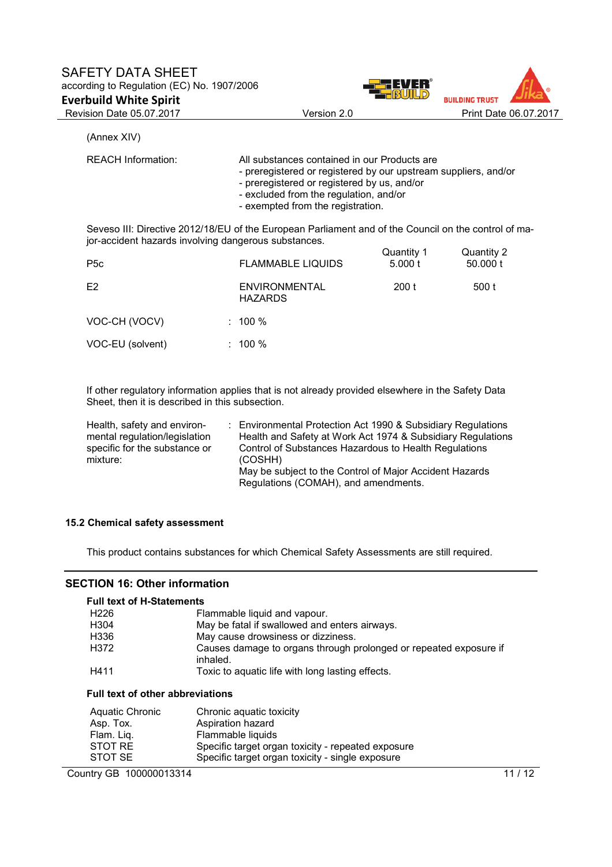



(Annex XIV)

| <b>REACH Information:</b>                            | All substances contained in our Products are<br>- preregistered or registered by our upstream suppliers, and/or<br>- preregistered or registered by us, and/or<br>- excluded from the regulation, and/or<br>- exempted from the registration. |
|------------------------------------------------------|-----------------------------------------------------------------------------------------------------------------------------------------------------------------------------------------------------------------------------------------------|
| jor-accident hazards involving dangerous substances. | Seveso III: Directive 2012/18/EU of the European Parliament and of the Council on the control of ma-                                                                                                                                          |

| P <sub>5</sub> c | <b>FLAMMABLE LIQUIDS</b>               | Quantity 1<br>5.000 t | Quantity 2<br>50,000 t |
|------------------|----------------------------------------|-----------------------|------------------------|
| E <sub>2</sub>   | <b>ENVIRONMENTAL</b><br><b>HAZARDS</b> | 200 t                 | 500 t                  |
| VOC-CH (VOCV)    | $: 100 \%$                             |                       |                        |
| VOC-EU (solvent) | $: 100 \%$                             |                       |                        |

If other regulatory information applies that is not already provided elsewhere in the Safety Data Sheet, then it is described in this subsection.

| Health, safety and environ-   | : Environmental Protection Act 1990 & Subsidiary Regulations                                    |
|-------------------------------|-------------------------------------------------------------------------------------------------|
| mental regulation/legislation | Health and Safety at Work Act 1974 & Subsidiary Regulations                                     |
| specific for the substance or | Control of Substances Hazardous to Health Regulations                                           |
| mixture:                      | (COSHH)                                                                                         |
|                               | May be subject to the Control of Major Accident Hazards<br>Regulations (COMAH), and amendments. |

# **15.2 Chemical safety assessment**

This product contains substances for which Chemical Safety Assessments are still required.

# **SECTION 16: Other information**

| <b>Full text of H-Statements</b> |                                                                               |
|----------------------------------|-------------------------------------------------------------------------------|
| H <sub>226</sub>                 | Flammable liquid and vapour.                                                  |
| H304                             | May be fatal if swallowed and enters airways.                                 |
| H336                             | May cause drowsiness or dizziness.                                            |
| H372                             | Causes damage to organs through prolonged or repeated exposure if<br>inhaled. |
| H411                             | Toxic to aquatic life with long lasting effects.                              |

# **Full text of other abbreviations**

| Aquatic Chronic | Chronic aquatic toxicity                           |
|-----------------|----------------------------------------------------|
| Asp. Tox.       | Aspiration hazard                                  |
| Flam. Lig.      | Flammable liquids                                  |
| STOT RE         | Specific target organ toxicity - repeated exposure |
| STOT SE         | Specific target organ toxicity - single exposure   |

Country GB 100000013314 11/12